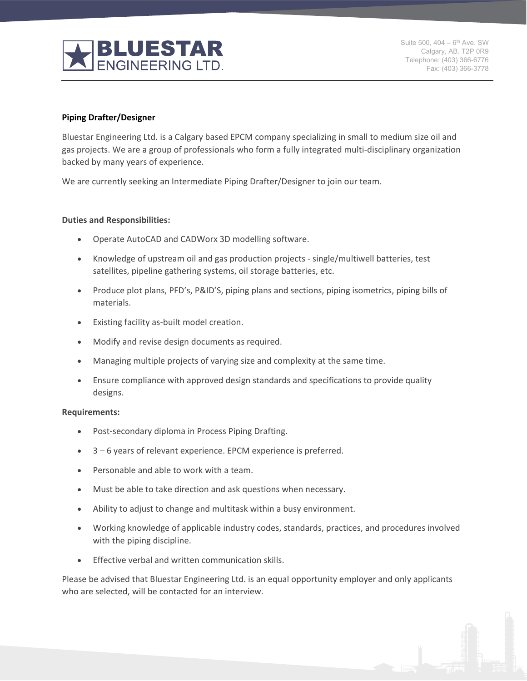

Suite 500,  $404 - 6^{th}$  Ave. SW Calgary, AB. T2P 0R9 Telephone: (403) 366-6776 Fax: (403) 366-3778

### **Piping Drafter/Designer**

Bluestar Engineering Ltd. is a Calgary based EPCM company specializing in small to medium size oil and gas projects. We are a group of professionals who form a fully integrated multi-disciplinary organization backed by many years of experience.

We are currently seeking an Intermediate Piping Drafter/Designer to join our team.

#### **Duties and Responsibilities:**

- Operate AutoCAD and CADWorx 3D modelling software.
- Knowledge of upstream oil and gas production projects single/multiwell batteries, test satellites, pipeline gathering systems, oil storage batteries, etc.
- Produce plot plans, PFD's, P&ID'S, piping plans and sections, piping isometrics, piping bills of materials.
- Existing facility as-built model creation.
- Modify and revise design documents as required.
- Managing multiple projects of varying size and complexity at the same time.
- Ensure compliance with approved design standards and specifications to provide quality designs.

#### **Requirements:**

- Post-secondary diploma in Process Piping Drafting.
- 3 6 years of relevant experience. EPCM experience is preferred.
- Personable and able to work with a team.
- Must be able to take direction and ask questions when necessary.
- Ability to adjust to change and multitask within a busy environment.
- Working knowledge of applicable industry codes, standards, practices, and procedures involved with the piping discipline.
- Effective verbal and written communication skills.

Please be advised that Bluestar Engineering Ltd. is an equal opportunity employer and only applicants who are selected, will be contacted for an interview.